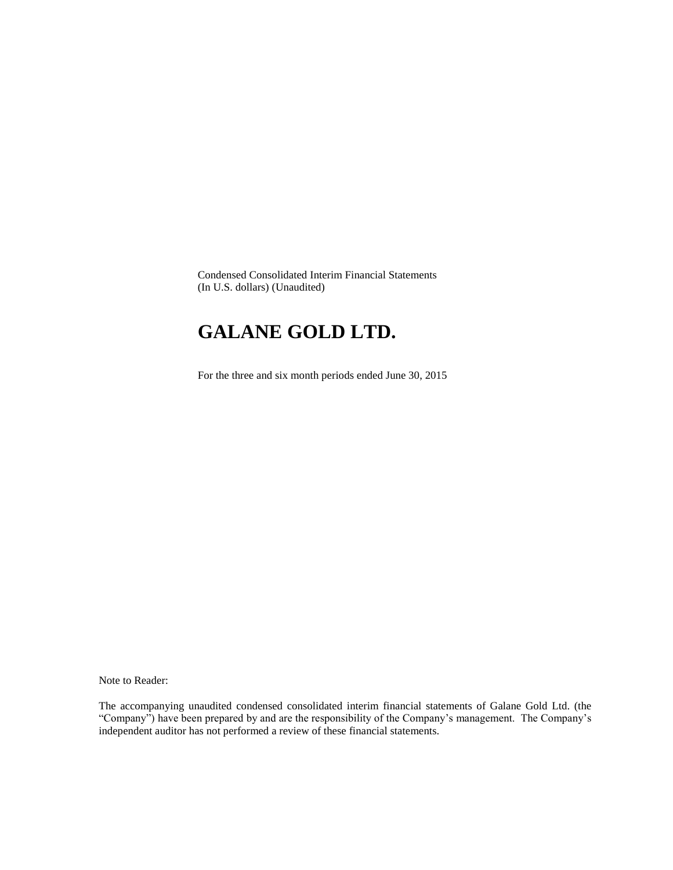Condensed Consolidated Interim Financial Statements (In U.S. dollars) (Unaudited)

## **GALANE GOLD LTD.**

For the three and six month periods ended June 30, 2015

Note to Reader:

The accompanying unaudited condensed consolidated interim financial statements of Galane Gold Ltd. (the "Company") have been prepared by and are the responsibility of the Company's management. The Company's independent auditor has not performed a review of these financial statements.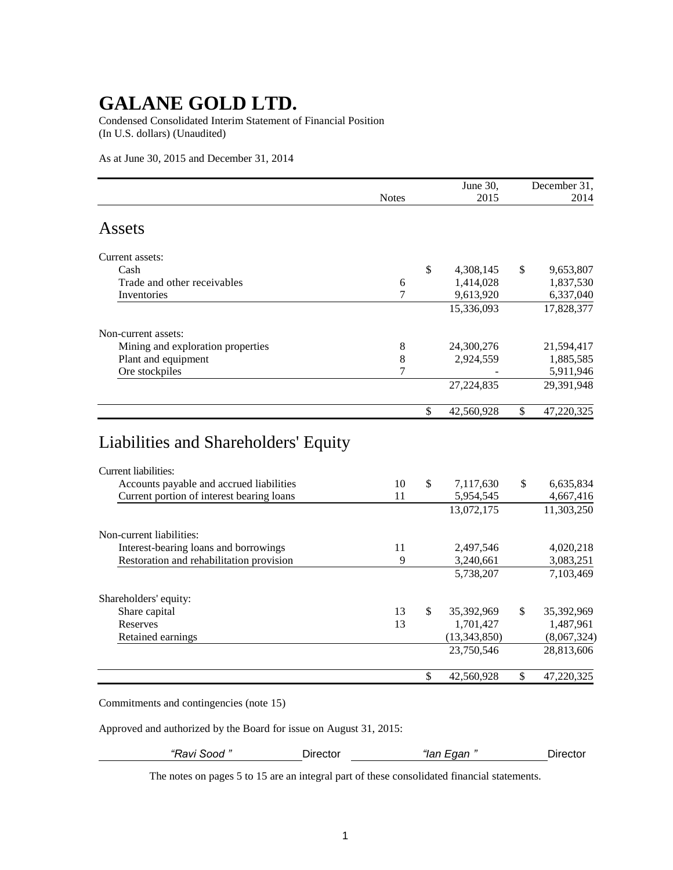Condensed Consolidated Interim Statement of Financial Position (In U.S. dollars) (Unaudited)

As at June 30, 2015 and December 31, 2014

|                                   |              | June 30,         | December 31,     |
|-----------------------------------|--------------|------------------|------------------|
|                                   | <b>Notes</b> | 2015             | 2014             |
| Assets                            |              |                  |                  |
| Current assets:                   |              |                  |                  |
| Cash                              |              | \$<br>4,308,145  | \$<br>9,653,807  |
| Trade and other receivables       | 6            | 1,414,028        | 1,837,530        |
| Inventories                       | 7            | 9,613,920        | 6,337,040        |
|                                   |              | 15,336,093       | 17,828,377       |
| Non-current assets:               |              |                  |                  |
| Mining and exploration properties | 8            | 24,300,276       | 21,594,417       |
| Plant and equipment               | 8            | 2,924,559        | 1,885,585        |
| Ore stockpiles                    | 7            |                  | 5,911,946        |
|                                   |              | 27, 224, 835     | 29,391,948       |
|                                   |              | \$<br>42,560,928 | \$<br>47,220,325 |

| Слитене наглишел.                         |    |              |              |                  |
|-------------------------------------------|----|--------------|--------------|------------------|
| Accounts payable and accrued liabilities  | 10 | $\mathbb{S}$ | 7,117,630    | \$<br>6,635,834  |
| Current portion of interest bearing loans | 11 |              | 5,954,545    | 4,667,416        |
|                                           |    |              | 13,072,175   | 11,303,250       |
| Non-current liabilities:                  |    |              |              |                  |
| Interest-bearing loans and borrowings     | 11 |              | 2,497,546    | 4,020,218        |
| Restoration and rehabilitation provision  | 9  |              | 3,240,661    | 3,083,251        |
|                                           |    |              | 5,738,207    | 7,103,469        |
| Shareholders' equity:                     |    |              |              |                  |
| Share capital                             | 13 | S.           | 35,392,969   | \$<br>35,392,969 |
| Reserves                                  | 13 |              | 1.701.427    | 1.487.961        |
| Retained earnings                         |    |              | (13,343,850) | (8,067,324)      |
|                                           |    |              | 23,750,546   | 28,813,606       |
|                                           |    | \$           | 42,560,928   | \$<br>47,220,325 |

Commitments and contingencies (note 15)

Approved and authorized by the Board for issue on August 31, 2015:

*"Ravi Sood "* Director *"Ian Egan "* Director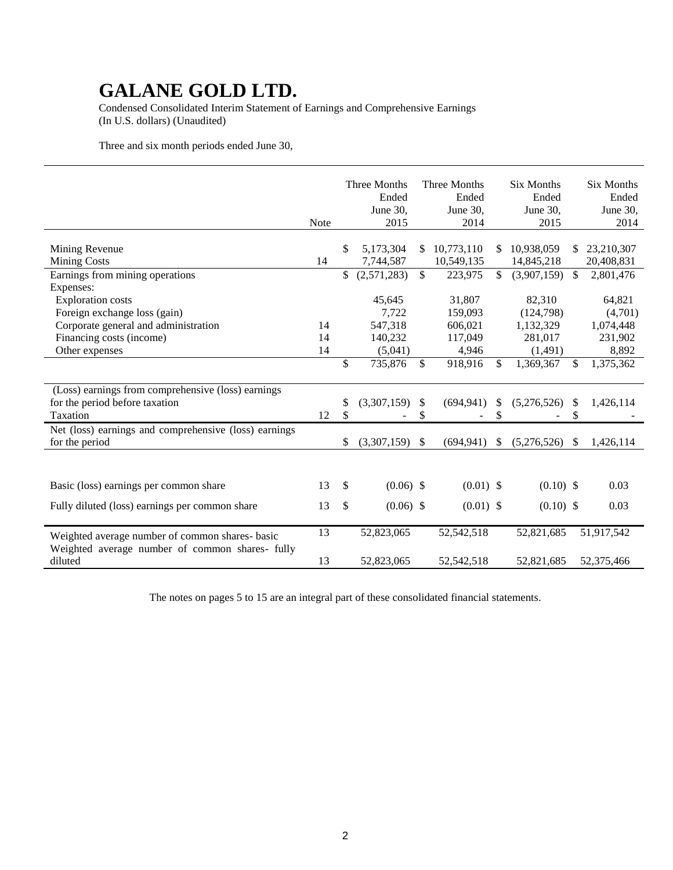Condensed Consolidated Interim Statement of Earnings and Comprehensive Earnings (In U.S. dollars) (Unaudited)

Three and six month periods ended June 30,

|                                                                                                                                                | <b>Note</b>    |               | Three Months<br>Ended<br>June 30,<br>2015        |               | Three Months<br>Ended<br>June 30,<br>2014        |              | <b>Six Months</b><br>Ended<br>June $30.$<br>2015       |              | <b>Six Months</b><br>Ended<br>June 30,<br>2014     |
|------------------------------------------------------------------------------------------------------------------------------------------------|----------------|---------------|--------------------------------------------------|---------------|--------------------------------------------------|--------------|--------------------------------------------------------|--------------|----------------------------------------------------|
| Mining Revenue<br><b>Mining Costs</b>                                                                                                          | 14             | \$            | 5,173,304<br>7,744,587                           | \$.           | 10,773,110<br>10,549,135                         | \$           | 10,938,059<br>14,845,218                               | \$.          | 23,210,307<br>20,408,831                           |
| Earnings from mining operations<br>Expenses:                                                                                                   |                | \$            | (2,571,283)                                      | $\mathbb{S}$  | 223,975                                          | $\mathbb{S}$ | (3,907,159)                                            | $\mathbb{S}$ | 2,801,476                                          |
| <b>Exploration costs</b><br>Foreign exchange loss (gain)<br>Corporate general and administration<br>Financing costs (income)<br>Other expenses | 14<br>14<br>14 |               | 45,645<br>7,722<br>547,318<br>140,232<br>(5,041) |               | 31,807<br>159,093<br>606,021<br>117,049<br>4,946 |              | 82,310<br>(124,798)<br>1,132,329<br>281,017<br>(1,491) |              | 64,821<br>(4,701)<br>1,074,448<br>231,902<br>8,892 |
|                                                                                                                                                |                | \$            | 735,876                                          | \$            | 918,916                                          | \$           | 1,369,367                                              | \$           | 1,375,362                                          |
| (Loss) earnings from comprehensive (loss) earnings<br>for the period before taxation<br>Taxation                                               | 12             | S<br>\$       | (3,307,159)                                      | S<br>\$       | (694, 941)                                       | S<br>\$      | (5,276,526)                                            | S<br>\$      | 1,426,114                                          |
| Net (loss) earnings and comprehensive (loss) earnings<br>for the period                                                                        |                | S             | (3,307,159)                                      | $\mathcal{S}$ | (694, 941)                                       | \$           | (5,276,526)                                            | \$           | 1,426,114                                          |
|                                                                                                                                                |                |               |                                                  |               |                                                  |              |                                                        |              |                                                    |
| Basic (loss) earnings per common share                                                                                                         | 13             | <sup>\$</sup> | $(0.06)$ \$                                      |               | $(0.01)$ \$                                      |              | $(0.10)$ \$                                            |              | 0.03                                               |
| Fully diluted (loss) earnings per common share                                                                                                 | 13             | \$            | $(0.06)$ \$                                      |               | $(0.01)$ \$                                      |              | $(0.10)$ \$                                            |              | 0.03                                               |
| Weighted average number of common shares- basic<br>Weighted average number of common shares- fully                                             | 13             |               | 52,823,065                                       |               | 52,542,518                                       |              | 52,821,685                                             |              | 51,917,542                                         |
| diluted                                                                                                                                        | 13             |               | 52,823,065                                       |               | 52,542,518                                       |              | 52,821,685                                             |              | 52,375,466                                         |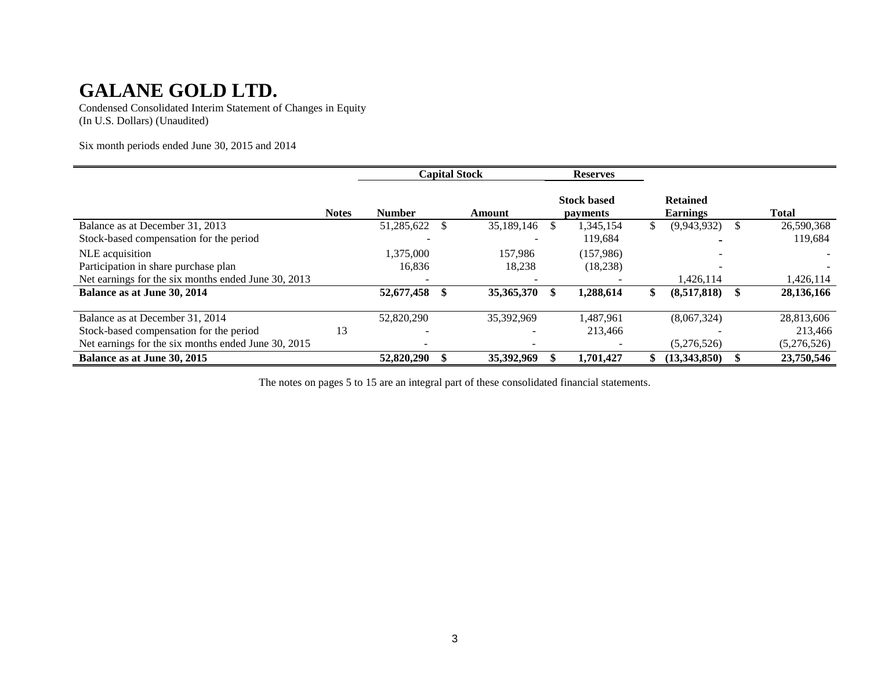Condensed Consolidated Interim Statement of Changes in Equity (In U.S. Dollars) (Unaudited)

Six month periods ended June 30, 2015 and 2014

|                                                     |              |               | <b>Capital Stock</b> |    | <b>Reserves</b>                       |                                    |              |
|-----------------------------------------------------|--------------|---------------|----------------------|----|---------------------------------------|------------------------------------|--------------|
|                                                     | <b>Notes</b> | <b>Number</b> | Amount               |    | <b>Stock based</b><br><i>payments</i> | <b>Retained</b><br><b>Earnings</b> | <b>Total</b> |
| Balance as at December 31, 2013                     |              | 51,285,622    | 35,189,146           | S. | 1,345,154                             | \$<br>(9,943,932)                  | 26,590,368   |
| Stock-based compensation for the period             |              |               |                      |    | 119.684                               |                                    | 119,684      |
| NLE acquisition                                     |              | 1,375,000     | 157.986              |    | (157,986)                             |                                    |              |
| Participation in share purchase plan                |              | 16,836        | 18,238               |    | (18, 238)                             |                                    |              |
| Net earnings for the six months ended June 30, 2013 |              |               |                      |    |                                       | 1,426,114                          | 1,426,114    |
| Balance as at June 30, 2014                         |              | 52,677,458    | 35,365,370           |    | 1,288,614                             | \$<br>(8,517,818)                  | 28,136,166   |
| Balance as at December 31, 2014                     |              | 52,820,290    | 35,392,969           |    | 1,487,961                             | (8,067,324)                        | 28,813,606   |
| Stock-based compensation for the period             | 13           |               |                      |    | 213,466                               |                                    | 213,466      |
| Net earnings for the six months ended June 30, 2015 |              | $\equiv$      |                      |    |                                       | (5,276,526)                        | (5,276,526)  |
| Balance as at June 30, 2015                         |              | 52,820,290    | 35,392,969           |    | 1.701.427                             | (13.343.850)                       | 23,750,546   |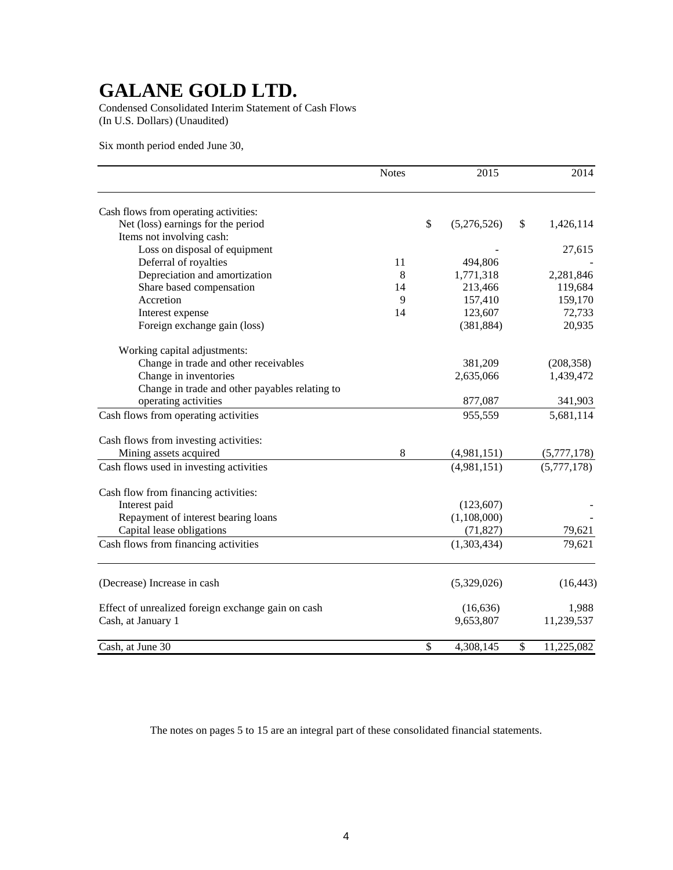Condensed Consolidated Interim Statement of Cash Flows (In U.S. Dollars) (Unaudited)

Six month period ended June 30,

|                                                    | <b>Notes</b> | 2015              | 2014             |
|----------------------------------------------------|--------------|-------------------|------------------|
| Cash flows from operating activities:              |              |                   |                  |
| Net (loss) earnings for the period                 |              | \$<br>(5,276,526) | \$<br>1,426,114  |
| Items not involving cash:                          |              |                   |                  |
| Loss on disposal of equipment                      |              |                   | 27,615           |
| Deferral of royalties                              | 11           | 494,806           |                  |
| Depreciation and amortization                      | 8            | 1,771,318         | 2,281,846        |
| Share based compensation                           | 14           | 213,466           | 119,684          |
| Accretion                                          | 9            | 157,410           | 159,170          |
| Interest expense                                   | 14           | 123,607           | 72,733           |
| Foreign exchange gain (loss)                       |              | (381, 884)        | 20,935           |
| Working capital adjustments:                       |              |                   |                  |
| Change in trade and other receivables              |              | 381,209           | (208, 358)       |
| Change in inventories                              |              | 2,635,066         | 1,439,472        |
| Change in trade and other payables relating to     |              |                   |                  |
| operating activities                               |              | 877,087           | 341,903          |
| Cash flows from operating activities               |              | 955,559           | 5,681,114        |
| Cash flows from investing activities:              |              |                   |                  |
| Mining assets acquired                             | 8            | (4,981,151)       | (5,777,178)      |
| Cash flows used in investing activities            |              | (4,981,151)       | (5,777,178)      |
| Cash flow from financing activities:               |              |                   |                  |
| Interest paid                                      |              | (123, 607)        |                  |
| Repayment of interest bearing loans                |              | (1,108,000)       |                  |
| Capital lease obligations                          |              | (71, 827)         | 79,621           |
| Cash flows from financing activities               |              | (1,303,434)       | 79,621           |
|                                                    |              |                   |                  |
| (Decrease) Increase in cash                        |              | (5,329,026)       | (16, 443)        |
| Effect of unrealized foreign exchange gain on cash |              | (16, 636)         | 1,988            |
| Cash, at January 1                                 |              | 9,653,807         | 11,239,537       |
| Cash, at June 30                                   |              | \$<br>4,308,145   | \$<br>11,225,082 |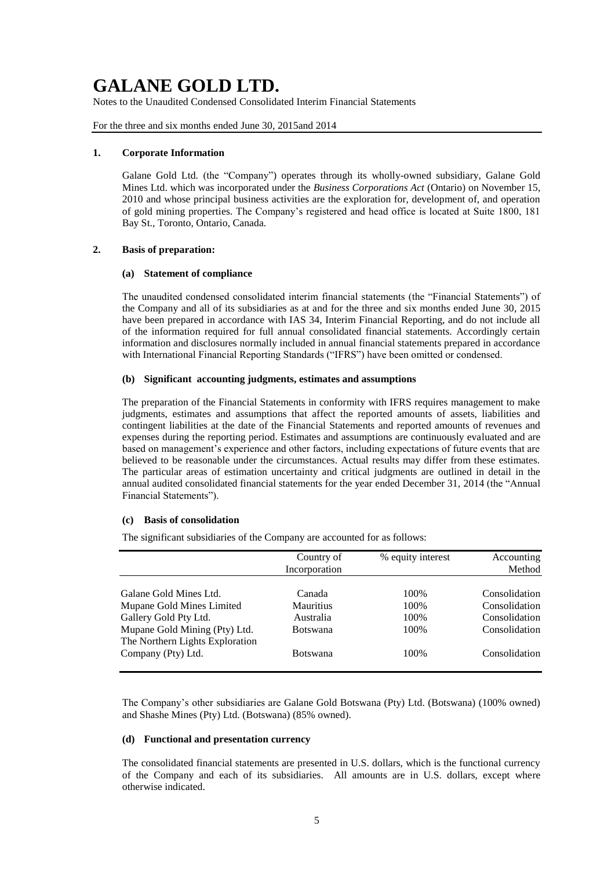Notes to the Unaudited Condensed Consolidated Interim Financial Statements

For the three and six months ended June 30, 2015and 2014

#### **1. Corporate Information**

Galane Gold Ltd. (the "Company") operates through its wholly-owned subsidiary, Galane Gold Mines Ltd. which was incorporated under the *Business Corporations Act* (Ontario) on November 15, 2010 and whose principal business activities are the exploration for, development of, and operation of gold mining properties. The Company's registered and head office is located at Suite 1800, 181 Bay St., Toronto, Ontario, Canada.

### **2. Basis of preparation:**

### **(a) Statement of compliance**

The unaudited condensed consolidated interim financial statements (the "Financial Statements") of the Company and all of its subsidiaries as at and for the three and six months ended June 30, 2015 have been prepared in accordance with IAS 34, Interim Financial Reporting, and do not include all of the information required for full annual consolidated financial statements. Accordingly certain information and disclosures normally included in annual financial statements prepared in accordance with International Financial Reporting Standards ("IFRS") have been omitted or condensed.

### **(b) Significant accounting judgments, estimates and assumptions**

The preparation of the Financial Statements in conformity with IFRS requires management to make judgments, estimates and assumptions that affect the reported amounts of assets, liabilities and contingent liabilities at the date of the Financial Statements and reported amounts of revenues and expenses during the reporting period. Estimates and assumptions are continuously evaluated and are based on management's experience and other factors, including expectations of future events that are believed to be reasonable under the circumstances. Actual results may differ from these estimates. The particular areas of estimation uncertainty and critical judgments are outlined in detail in the annual audited consolidated financial statements for the year ended December 31, 2014 (the "Annual Financial Statements").

### **(c) Basis of consolidation**

The significant subsidiaries of the Company are accounted for as follows:

|                                                                              | Country of<br>Incorporation             | % equity interest    | Accounting<br>Method                            |
|------------------------------------------------------------------------------|-----------------------------------------|----------------------|-------------------------------------------------|
| Galane Gold Mines Ltd.<br>Mupane Gold Mines Limited<br>Gallery Gold Pty Ltd. | Canada<br><b>Mauritius</b><br>Australia | 100%<br>100%<br>100% | Consolidation<br>Consolidation<br>Consolidation |
| Mupane Gold Mining (Pty) Ltd.<br>The Northern Lights Exploration             | <b>Botswana</b>                         | 100%                 | Consolidation                                   |
| Company (Pty) Ltd.                                                           | <b>Botswana</b>                         | 100\%                | Consolidation                                   |

The Company's other subsidiaries are Galane Gold Botswana (Pty) Ltd. (Botswana) (100% owned) and Shashe Mines (Pty) Ltd. (Botswana) (85% owned).

### **(d) Functional and presentation currency**

The consolidated financial statements are presented in U.S. dollars, which is the functional currency of the Company and each of its subsidiaries. All amounts are in U.S. dollars, except where otherwise indicated.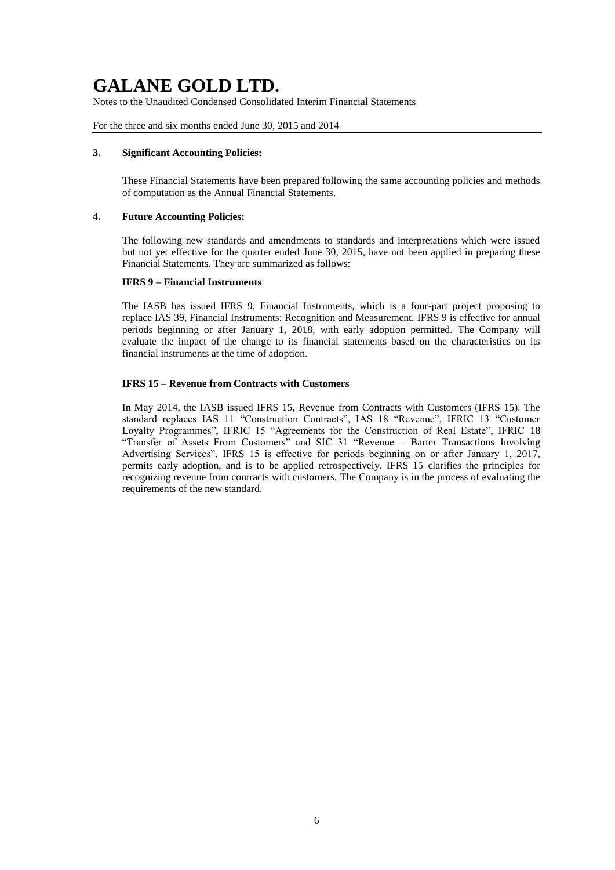Notes to the Unaudited Condensed Consolidated Interim Financial Statements

For the three and six months ended June 30, 2015 and 2014

#### **3. Significant Accounting Policies:**

These Financial Statements have been prepared following the same accounting policies and methods of computation as the Annual Financial Statements.

#### **4. Future Accounting Policies:**

The following new standards and amendments to standards and interpretations which were issued but not yet effective for the quarter ended June 30, 2015, have not been applied in preparing these Financial Statements. They are summarized as follows:

#### **IFRS 9 – Financial Instruments**

The IASB has issued IFRS 9, Financial Instruments, which is a four-part project proposing to replace IAS 39, Financial Instruments: Recognition and Measurement. IFRS 9 is effective for annual periods beginning or after January 1, 2018, with early adoption permitted. The Company will evaluate the impact of the change to its financial statements based on the characteristics on its financial instruments at the time of adoption.

### **IFRS 15 – Revenue from Contracts with Customers**

In May 2014, the IASB issued IFRS 15, Revenue from Contracts with Customers (IFRS 15). The standard replaces IAS 11 "Construction Contracts", IAS 18 "Revenue", IFRIC 13 "Customer Loyalty Programmes", IFRIC 15 "Agreements for the Construction of Real Estate", IFRIC 18 "Transfer of Assets From Customers" and SIC 31 "Revenue – Barter Transactions Involving Advertising Services". IFRS 15 is effective for periods beginning on or after January 1, 2017, permits early adoption, and is to be applied retrospectively. IFRS 15 clarifies the principles for recognizing revenue from contracts with customers. The Company is in the process of evaluating the requirements of the new standard.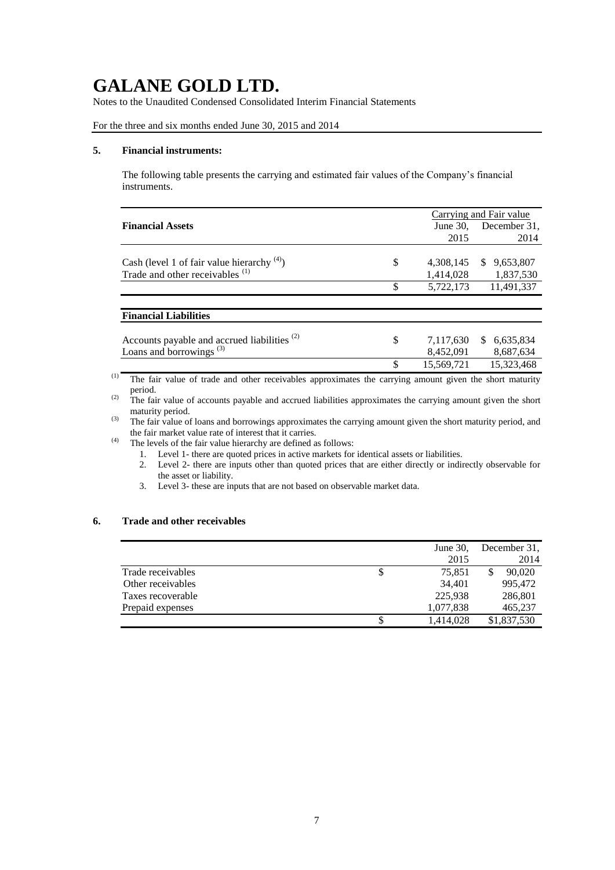Notes to the Unaudited Condensed Consolidated Interim Financial Statements

For the three and six months ended June 30, 2015 and 2014

#### **5. Financial instruments:**

The following table presents the carrying and estimated fair values of the Company's financial instruments.

|                                                         |     |             | Carrying and Fair value |
|---------------------------------------------------------|-----|-------------|-------------------------|
| <b>Financial Assets</b>                                 |     | June $30$ , | December 31,            |
|                                                         |     | 2015        | 2014                    |
|                                                         |     |             |                         |
| Cash (level 1 of fair value hierarchy $(4)$ )           | \$  | 4,308,145   | 9,653,807<br>S.         |
| Trade and other receivables <sup>(1)</sup>              |     | 1,414,028   | 1,837,530               |
|                                                         | \$  | 5,722,173   | 11,491,337              |
|                                                         |     |             |                         |
| <b>Financial Liabilities</b>                            |     |             |                         |
|                                                         |     |             |                         |
| Accounts payable and accrued liabilities <sup>(2)</sup> | \$  | 7,117,630   | 6,635,834<br>S.         |
| Loans and borrowings <sup>(3)</sup>                     |     | 8,452,091   | 8,687,634               |
|                                                         | \$. | 15.569.721  | 15,323,468              |

(1) The fair value of trade and other receivables approximates the carrying amount given the short maturity period.

<sup>(2)</sup> The fair value of accounts payable and accrued liabilities approximates the carrying amount given the short maturity period.

(3) The fair value of loans and borrowings approximates the carrying amount given the short maturity period, and the fair market value rate of interest that it carries.

(4) The levels of the fair value hierarchy are defined as follows:

- 1. Level 1- there are quoted prices in active markets for identical assets or liabilities.
- 2. Level 2- there are inputs other than quoted prices that are either directly or indirectly observable for the asset or liability.
- 3. Level 3- these are inputs that are not based on observable market data.

### **6. Trade and other receivables**

|                   |   | June $30$ , | December 31, |
|-------------------|---|-------------|--------------|
|                   |   | 2015        | 2014         |
| Trade receivables | 2 | 75.851      | 90,020       |
| Other receivables |   | 34,401      | 995,472      |
| Taxes recoverable |   | 225,938     | 286,801      |
| Prepaid expenses  |   | 1,077,838   | 465,237      |
|                   |   | 1,414,028   | \$1,837,530  |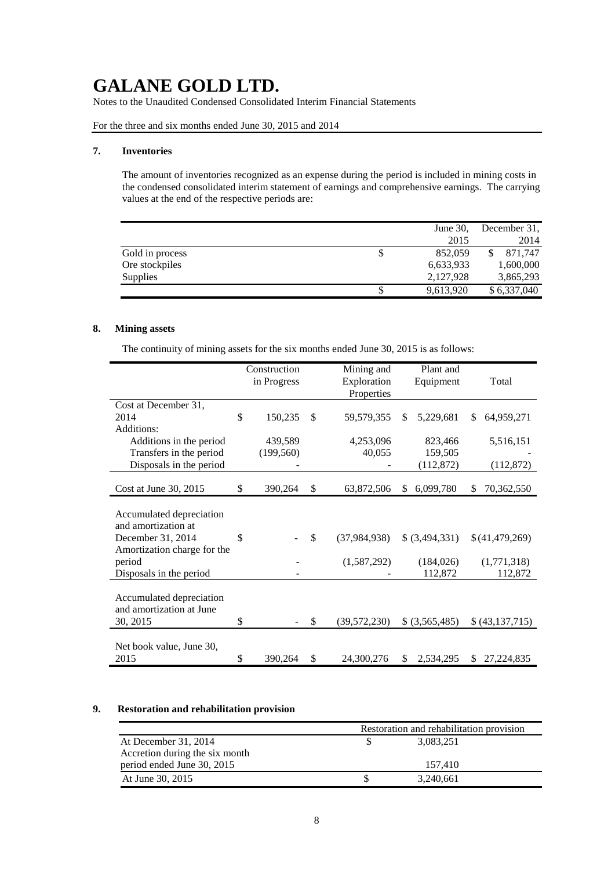Notes to the Unaudited Condensed Consolidated Interim Financial Statements

For the three and six months ended June 30, 2015 and 2014

#### **7. Inventories**

The amount of inventories recognized as an expense during the period is included in mining costs in the condensed consolidated interim statement of earnings and comprehensive earnings. The carrying values at the end of the respective periods are:

|                 | June $30$ ,   | December 31, |
|-----------------|---------------|--------------|
|                 | 2015          | 2014         |
| Gold in process | \$<br>852,059 | 871.747      |
| Ore stockpiles  | 6,633,933     | 1,600,000    |
| Supplies        | 2,127,928     | 3,865,293    |
|                 | 9,613,920     | \$6,337,040  |

### **8. Mining assets**

The continuity of mining assets for the six months ended June 30, 2015 is as follows:

|                             | Construction  |               | Mining and     |     | Plant and       |     |                 |
|-----------------------------|---------------|---------------|----------------|-----|-----------------|-----|-----------------|
|                             | in Progress   |               | Exploration    |     | Equipment       |     | Total           |
|                             |               |               | Properties     |     |                 |     |                 |
| Cost at December 31,        |               |               |                |     |                 |     |                 |
| 2014                        | \$<br>150,235 | <sup>\$</sup> | 59,579,355     | S.  | 5,229,681       | \$. | 64,959,271      |
| Additions:                  |               |               |                |     |                 |     |                 |
| Additions in the period     | 439,589       |               | 4,253,096      |     | 823,466         |     | 5,516,151       |
| Transfers in the period     | (199, 560)    |               | 40,055         |     | 159,505         |     |                 |
| Disposals in the period     |               |               |                |     | (112,872)       |     | (112,872)       |
|                             |               |               |                |     |                 |     |                 |
| Cost at June 30, 2015       | \$<br>390,264 | \$            | 63,872,506     | \$. | 6,099,780       | \$. | 70,362,550      |
|                             |               |               |                |     |                 |     |                 |
| Accumulated depreciation    |               |               |                |     |                 |     |                 |
| and amortization at         |               |               |                |     |                 |     |                 |
| December 31, 2014           | \$            | $\mathbb{S}$  | (37, 984, 938) |     | \$ (3,494,331)  |     | \$(41,479,269)  |
| Amortization charge for the |               |               |                |     |                 |     |                 |
| period                      |               |               | (1,587,292)    |     | (184, 026)      |     | (1,771,318)     |
| Disposals in the period     |               |               |                |     | 112,872         |     | 112,872         |
|                             |               |               |                |     |                 |     |                 |
| Accumulated depreciation    |               |               |                |     |                 |     |                 |
| and amortization at June    |               |               |                |     |                 |     |                 |
| 30, 2015                    | \$            | \$            | (39, 572, 230) |     | $$$ (3,565,485) |     | \$ (43,137,715) |
|                             |               |               |                |     |                 |     |                 |
| Net book value, June 30,    |               |               |                |     |                 |     |                 |
| 2015                        | \$<br>390,264 | \$            | 24,300,276     | S   | 2,534,295       | S.  | 27, 224, 835    |

### **9. Restoration and rehabilitation provision**

|                                | Restoration and rehabilitation provision |  |
|--------------------------------|------------------------------------------|--|
| At December 31, 2014           | 3,083,251                                |  |
| Accretion during the six month |                                          |  |
| period ended June 30, 2015     | 157.410                                  |  |
| At June 30, 2015               | 3,240,661                                |  |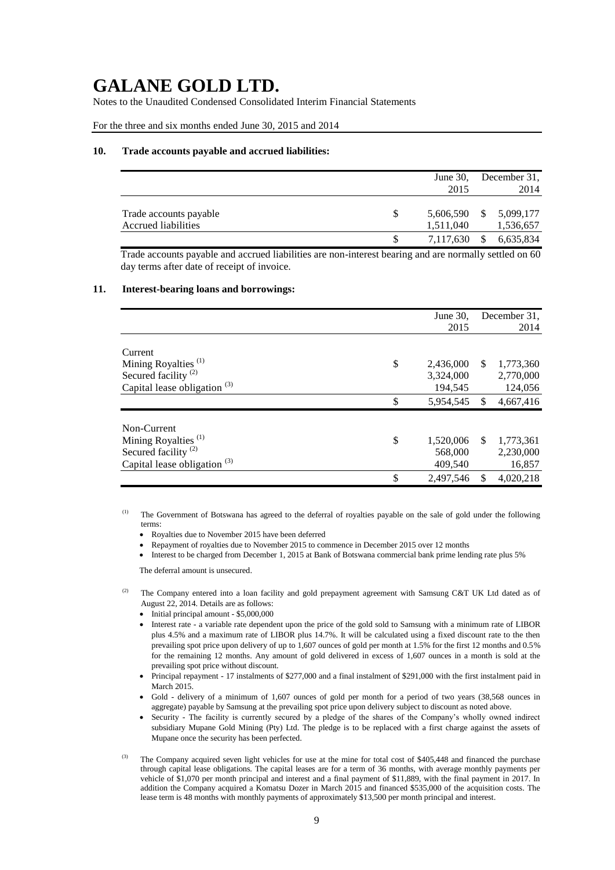Notes to the Unaudited Condensed Consolidated Interim Financial Statements

For the three and six months ended June 30, 2015 and 2014

#### **10. Trade accounts payable and accrued liabilities:**

|                                               |   | June $30$ ,<br>2015    |     | December 31,<br>2014   |
|-----------------------------------------------|---|------------------------|-----|------------------------|
| Trade accounts payable<br>Accrued liabilities | S | 5,606,590<br>1,511,040 | - S | 5,099,177<br>1,536,657 |
|                                               |   | 7,117,630              |     | 6,635,834              |

Trade accounts payable and accrued liabilities are non-interest bearing and are normally settled on 60 day terms after date of receipt of invoice.

### **11. Interest-bearing loans and borrowings:**

|                                                                                                                     |          | June $30$ .                                    |          | December 31.                                   |
|---------------------------------------------------------------------------------------------------------------------|----------|------------------------------------------------|----------|------------------------------------------------|
|                                                                                                                     |          | 2015                                           |          | 2014                                           |
| Current<br>Mining Royalties <sup>(1)</sup><br>Secured facility <sup>(2)</sup><br>Capital lease obligation $(3)$     | \$<br>\$ | 2,436,000<br>3,324,000<br>194,545<br>5,954,545 | S<br>\$. | 1,773,360<br>2,770,000<br>124,056<br>4,667,416 |
| Non-Current<br>Mining Royalties <sup>(1)</sup><br>Secured facility <sup>(2)</sup><br>Capital lease obligation $(3)$ | \$       | 1,520,006<br>568,000<br>409,540                | \$.      | 1,773,361<br>2,230,000<br>16,857               |
|                                                                                                                     | \$       | 2.497.546                                      | \$       | 4,020,218                                      |

(1) The Government of Botswana has agreed to the deferral of royalties payable on the sale of gold under the following terms:

- Royalties due to November 2015 have been deferred
- Repayment of royalties due to November 2015 to commence in December 2015 over 12 months
- Interest to be charged from December 1, 2015 at Bank of Botswana commercial bank prime lending rate plus 5%

The deferral amount is unsecured.

- The Company entered into a loan facility and gold prepayment agreement with Samsung C&T UK Ltd dated as of August 22, 2014. Details are as follows:
	- Initial principal amount \$5,000,000
	- Interest rate a variable rate dependent upon the price of the gold sold to Samsung with a minimum rate of LIBOR plus 4.5% and a maximum rate of LIBOR plus 14.7%. It will be calculated using a fixed discount rate to the then prevailing spot price upon delivery of up to 1,607 ounces of gold per month at 1.5% for the first 12 months and 0.5% for the remaining 12 months. Any amount of gold delivered in excess of 1,607 ounces in a month is sold at the prevailing spot price without discount.
	- Principal repayment 17 instalments of \$277,000 and a final instalment of \$291,000 with the first instalment paid in March 2015.
	- Gold delivery of a minimum of 1,607 ounces of gold per month for a period of two years (38,568 ounces in aggregate) payable by Samsung at the prevailing spot price upon delivery subject to discount as noted above.
	- Security The facility is currently secured by a pledge of the shares of the Company's wholly owned indirect subsidiary Mupane Gold Mining (Pty) Ltd. The pledge is to be replaced with a first charge against the assets of Mupane once the security has been perfected.
- The Company acquired seven light vehicles for use at the mine for total cost of \$405,448 and financed the purchase through capital lease obligations. The capital leases are for a term of 36 months, with average monthly payments per vehicle of \$1,070 per month principal and interest and a final payment of \$11,889, with the final payment in 2017. In addition the Company acquired a Komatsu Dozer in March 2015 and financed \$535,000 of the acquisition costs. The lease term is 48 months with monthly payments of approximately \$13,500 per month principal and interest.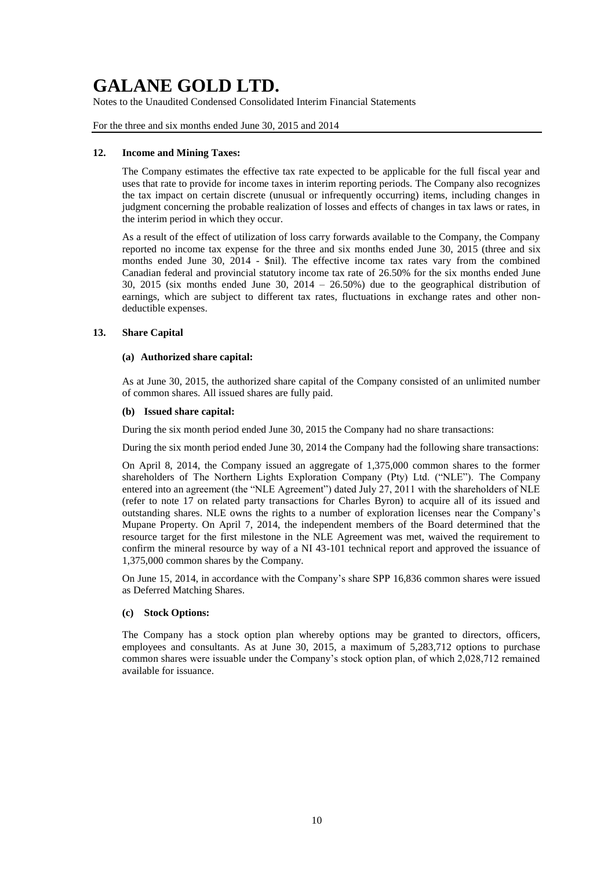Notes to the Unaudited Condensed Consolidated Interim Financial Statements

For the three and six months ended June 30, 2015 and 2014

### **12. Income and Mining Taxes:**

The Company estimates the effective tax rate expected to be applicable for the full fiscal year and uses that rate to provide for income taxes in interim reporting periods. The Company also recognizes the tax impact on certain discrete (unusual or infrequently occurring) items, including changes in judgment concerning the probable realization of losses and effects of changes in tax laws or rates, in the interim period in which they occur.

As a result of the effect of utilization of loss carry forwards available to the Company, the Company reported no income tax expense for the three and six months ended June 30, 2015 (three and six months ended June 30, 2014 - \$nil). The effective income tax rates vary from the combined Canadian federal and provincial statutory income tax rate of 26.50% for the six months ended June 30, 2015 (six months ended June 30, 2014 – 26.50%) due to the geographical distribution of earnings, which are subject to different tax rates, fluctuations in exchange rates and other nondeductible expenses.

### **13. Share Capital**

### **(a) Authorized share capital:**

As at June 30, 2015, the authorized share capital of the Company consisted of an unlimited number of common shares. All issued shares are fully paid.

#### **(b) Issued share capital:**

During the six month period ended June 30, 2015 the Company had no share transactions:

During the six month period ended June 30, 2014 the Company had the following share transactions:

On April 8, 2014, the Company issued an aggregate of 1,375,000 common shares to the former shareholders of The Northern Lights Exploration Company (Pty) Ltd. ("NLE"). The Company entered into an agreement (the "NLE Agreement") dated July 27, 2011 with the shareholders of NLE (refer to note 17 on related party transactions for Charles Byron) to acquire all of its issued and outstanding shares. NLE owns the rights to a number of exploration licenses near the Company's Mupane Property. On April 7, 2014, the independent members of the Board determined that the resource target for the first milestone in the NLE Agreement was met, waived the requirement to confirm the mineral resource by way of a NI 43-101 technical report and approved the issuance of 1,375,000 common shares by the Company.

On June 15, 2014, in accordance with the Company's share SPP 16,836 common shares were issued as Deferred Matching Shares.

### **(c) Stock Options:**

The Company has a stock option plan whereby options may be granted to directors, officers, employees and consultants. As at June 30, 2015, a maximum of 5,283,712 options to purchase common shares were issuable under the Company's stock option plan, of which 2,028,712 remained available for issuance.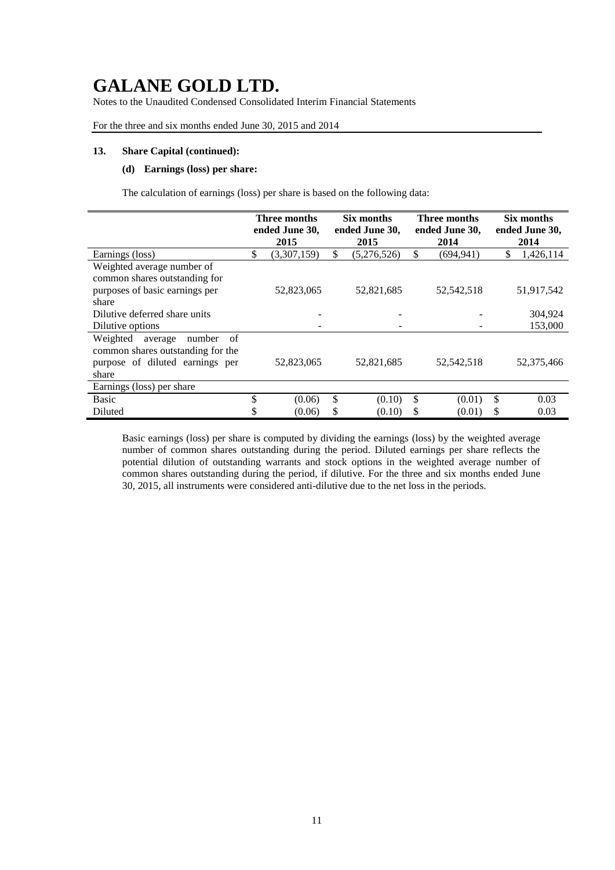Notes to the Unaudited Condensed Consolidated Interim Financial Statements

For the three and six months ended June 30, 2015 and 2014

#### **13. Share Capital (continued):**

### **(d) Earnings (loss) per share:**

The calculation of earnings (loss) per share is based on the following data:

|                                     | Three months |                |    | Six months     |    | <b>Three months</b> | Six months     |            |  |
|-------------------------------------|--------------|----------------|----|----------------|----|---------------------|----------------|------------|--|
|                                     |              | ended June 30, |    | ended June 30, |    | ended June 30,      | ended June 30, |            |  |
|                                     |              | 2015           |    | 2015           |    | 2014                | 2014           |            |  |
| Earnings (loss)                     | \$           | (3,307,159)    | \$ | (5,276,526)    | \$ | (694.941)           | \$             | 1,426,114  |  |
| Weighted average number of          |              |                |    |                |    |                     |                |            |  |
| common shares outstanding for       |              |                |    |                |    |                     |                |            |  |
| purposes of basic earnings per      |              | 52,823,065     |    | 52,821,685     |    | 52, 542, 518        |                | 51,917,542 |  |
| share                               |              |                |    |                |    |                     |                |            |  |
| Dilutive deferred share units       |              |                |    |                |    |                     |                | 304,924    |  |
| Dilutive options                    |              |                |    |                |    |                     |                | 153,000    |  |
| Weighted<br>of<br>number<br>average |              |                |    |                |    |                     |                |            |  |
| common shares outstanding for the   |              |                |    |                |    |                     |                |            |  |
| purpose of diluted earnings per     |              | 52,823,065     |    | 52,821,685     |    | 52, 542, 518        |                | 52,375,466 |  |
| share                               |              |                |    |                |    |                     |                |            |  |
| Earnings (loss) per share           |              |                |    |                |    |                     |                |            |  |
| <b>Basic</b>                        | \$           | (0.06)         | \$ | (0.10)         | \$ | (0.01)              | \$             | 0.03       |  |
| Diluted                             |              | (0.06)         | \$ | (0.10)         | S  | (0.01)              | S              | 0.03       |  |

Basic earnings (loss) per share is computed by dividing the earnings (loss) by the weighted average number of common shares outstanding during the period. Diluted earnings per share reflects the potential dilution of outstanding warrants and stock options in the weighted average number of common shares outstanding during the period, if dilutive. For the three and six months ended June 30, 2015, all instruments were considered anti-dilutive due to the net loss in the periods.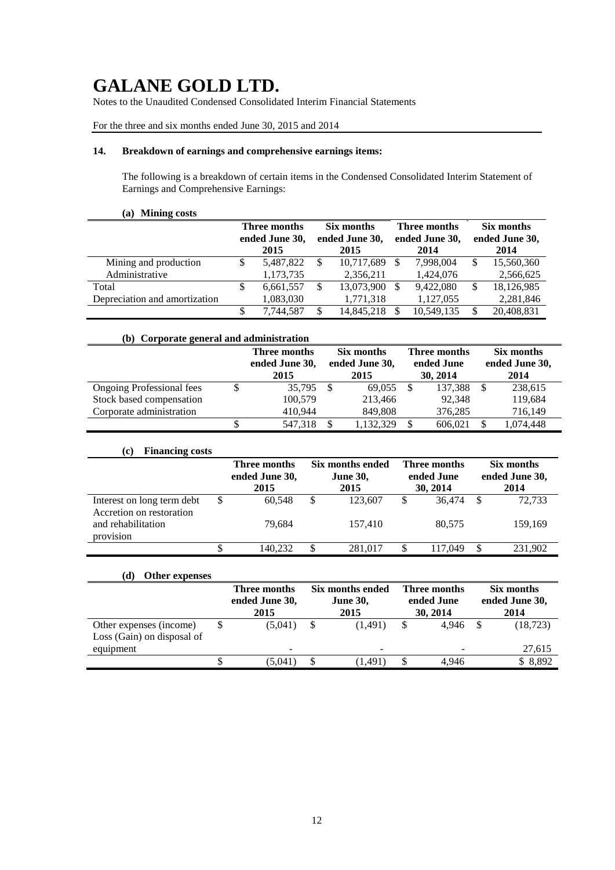Notes to the Unaudited Condensed Consolidated Interim Financial Statements

For the three and six months ended June 30, 2015 and 2014

### **14. Breakdown of earnings and comprehensive earnings items:**

The following is a breakdown of certain items in the Condensed Consolidated Interim Statement of Earnings and Comprehensive Earnings:

### **(a) Mining costs**

|                               | Three months<br>ended June 30, |           | Six months<br>ended June 30, |            |               | <b>Three months</b><br>ended June 30, | Six months<br>ended June 30, |            |  |
|-------------------------------|--------------------------------|-----------|------------------------------|------------|---------------|---------------------------------------|------------------------------|------------|--|
|                               |                                | 2015      |                              | 2015       |               | 2014                                  |                              | 2014       |  |
| Mining and production         | S                              | 5,487,822 | S                            | 10,717,689 | <sup>\$</sup> | 7,998,004                             |                              | 15,560,360 |  |
| Administrative                |                                | 1,173,735 |                              | 2,356,211  |               | 1,424,076                             |                              | 2,566,625  |  |
| Total                         |                                | 6.661.557 |                              | 13,073,900 | S             | 9,422,080                             |                              | 18,126,985 |  |
| Depreciation and amortization |                                | 1,083,030 |                              | 1,771,318  |               | 1,127,055                             |                              | 2,281,846  |  |
|                               |                                | 7,744,587 |                              | 14,845,218 |               | 10,549,135                            |                              | 20,408,831 |  |

| (b) Corporate general and administration |                                        |                                      |           |                                        |         |                                      |           |
|------------------------------------------|----------------------------------------|--------------------------------------|-----------|----------------------------------------|---------|--------------------------------------|-----------|
|                                          | Three months<br>ended June 30,<br>2015 | Six months<br>ended June 30,<br>2015 |           | Three months<br>ended June<br>30, 2014 |         | Six months<br>ended June 30,<br>2014 |           |
| <b>Ongoing Professional fees</b>         | 35,795                                 | - \$                                 | 69,055    |                                        | 137.388 |                                      | 238,615   |
| Stock based compensation                 | 100,579                                |                                      | 213,466   |                                        | 92.348  |                                      | 119,684   |
| Corporate administration                 | 410.944                                |                                      | 849,808   |                                        | 376,285 |                                      | 716,149   |
|                                          | 547,318                                | S                                    | 1,132,329 |                                        | 606.021 |                                      | 1,074,448 |

### **(c) Financing costs**

|                                                        |   | Six months ended<br>Three months<br>ended June 30,<br><b>June 30,</b><br>2015<br>2015 |   | Three months<br>ended June<br>30, 2014 | Six months<br>ended June 30,<br>2014 |     |         |
|--------------------------------------------------------|---|---------------------------------------------------------------------------------------|---|----------------------------------------|--------------------------------------|-----|---------|
| Interest on long term debt<br>Accretion on restoration | S | 60.548                                                                                | S | 123,607                                | \$<br>36.474                         | - S | 72,733  |
| and rehabilitation<br>$\cdot$ $\cdot$<br>provision     |   | 79.684                                                                                |   | 157,410                                | 80.575                               |     | 159,169 |
|                                                        |   | 140.232                                                                               |   | 281.017                                | 117.049                              | \$  | 231,902 |

### **(d) Other expenses**

|                            | Three months   | Six months ended |                          |   | Three months             | Six months |                |  |
|----------------------------|----------------|------------------|--------------------------|---|--------------------------|------------|----------------|--|
|                            | ended June 30, |                  | <b>June 30,</b>          |   | ended June               |            | ended June 30, |  |
|                            | 2015           |                  | 2015<br>30, 2014         |   |                          | 2014       |                |  |
| Other expenses (income)    | (5,041)        |                  | (1.491)                  |   | 4.946                    | - \$       | (18, 723)      |  |
| Loss (Gain) on disposal of |                |                  |                          |   |                          |            |                |  |
| equipment                  | -              |                  | $\overline{\phantom{0}}$ |   | $\overline{\phantom{a}}$ |            | 27,615         |  |
|                            | (5.041         |                  | (1.491)                  | S | 4.946                    |            | \$8,892        |  |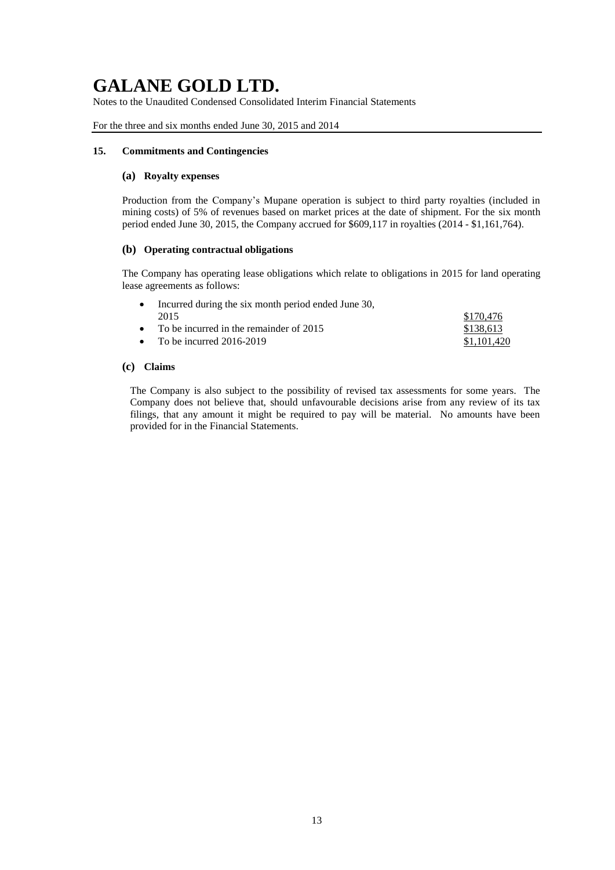Notes to the Unaudited Condensed Consolidated Interim Financial Statements

For the three and six months ended June 30, 2015 and 2014

### **15. Commitments and Contingencies**

### **(a) Royalty expenses**

Production from the Company's Mupane operation is subject to third party royalties (included in mining costs) of 5% of revenues based on market prices at the date of shipment. For the six month period ended June 30, 2015, the Company accrued for \$609,117 in royalties (2014 - \$1,161,764).

### **(b) Operating contractual obligations**

The Company has operating lease obligations which relate to obligations in 2015 for land operating lease agreements as follows:

| • Incurred during the six month period ended June 30, |             |
|-------------------------------------------------------|-------------|
| 2015                                                  | \$170.476   |
| • To be incurred in the remainder of $2015$           | \$138.613   |
| • To be incurred $2016-2019$                          | \$1,101,420 |

### **(c) Claims**

The Company is also subject to the possibility of revised tax assessments for some years. The Company does not believe that, should unfavourable decisions arise from any review of its tax filings, that any amount it might be required to pay will be material. No amounts have been provided for in the Financial Statements.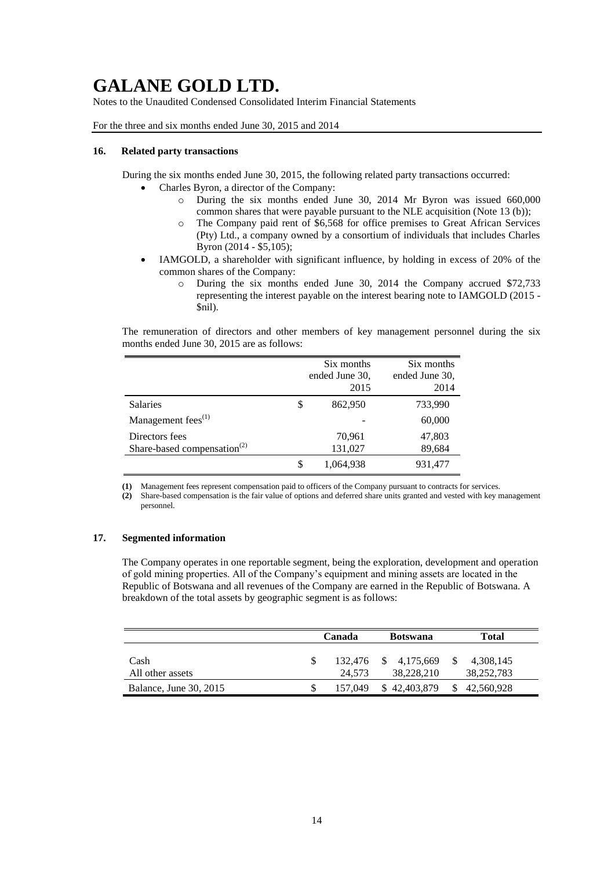Notes to the Unaudited Condensed Consolidated Interim Financial Statements

For the three and six months ended June 30, 2015 and 2014

### **16. Related party transactions**

During the six months ended June 30, 2015, the following related party transactions occurred:

- Charles Byron, a director of the Company:
	- o During the six months ended June 30, 2014 Mr Byron was issued 660,000 common shares that were payable pursuant to the NLE acquisition (Note 13 (b));
	- o The Company paid rent of \$6,568 for office premises to Great African Services (Pty) Ltd., a company owned by a consortium of individuals that includes Charles Byron (2014 - \$5,105);
- IAMGOLD, a shareholder with significant influence, by holding in excess of 20% of the common shares of the Company:
	- o During the six months ended June 30, 2014 the Company accrued \$72,733 representing the interest payable on the interest bearing note to IAMGOLD (2015 - \$nil).

The remuneration of directors and other members of key management personnel during the six months ended June 30, 2015 are as follows:

|                                         |   | Six months<br>ended June 30,<br>2015 | Six months<br>ended June 30,<br>2014 |
|-----------------------------------------|---|--------------------------------------|--------------------------------------|
| Salaries                                | S | 862,950                              | 733,990                              |
| Management fees <sup>(1)</sup>          |   | $\overline{\phantom{0}}$             | 60,000                               |
| Directors fees                          |   | 70,961                               | 47,803                               |
| Share-based compensation <sup>(2)</sup> |   | 131,027                              | 89,684                               |
|                                         |   | 1,064,938                            | 931,477                              |

**(1)** Management fees represent compensation paid to officers of the Company pursuant to contracts for services.

**(2)** Share-based compensation is the fair value of options and deferred share units granted and vested with key management personnel.

### **17. Segmented information**

The Company operates in one reportable segment, being the exploration, development and operation of gold mining properties. All of the Company's equipment and mining assets are located in the Republic of Botswana and all revenues of the Company are earned in the Republic of Botswana. A breakdown of the total assets by geographic segment is as follows:

|                               | Canada |                   |  | <b>Botswana</b>            |              | Total                   |
|-------------------------------|--------|-------------------|--|----------------------------|--------------|-------------------------|
| Cash<br>All other assets      |        | 132.476<br>24.573 |  | \$ 4,175,669<br>38,228,210 |              | 4,308,145<br>38,252,783 |
| <b>Balance, June 30, 2015</b> |        | 157.049           |  | \$42,403,879               | <sup>S</sup> | 42,560,928              |